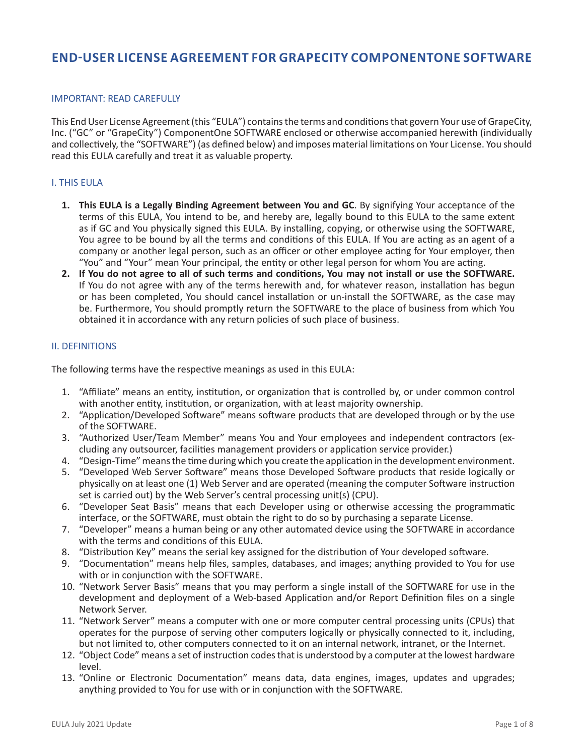# **END-USER LICENSE AGREEMENT FOR GRAPECITY COMPONENTONE SOFTWARE**

### IMPORTANT: READ CAREFULLY

This End User License Agreement (this "EULA") contains the terms and conditions that govern Your use of GrapeCity, Inc. ("GC" or "GrapeCity") ComponentOne SOFTWARE enclosed or otherwise accompanied herewith (individually and collectively, the "SOFTWARE") (as defined below) and imposes material limitations on Your License. You should read this EULA carefully and treat it as valuable property.

### I. THIS EULA

- **1. This EULA is a Legally Binding Agreement between You and GC**. By signifying Your acceptance of the terms of this EULA, You intend to be, and hereby are, legally bound to this EULA to the same extent as if GC and You physically signed this EULA. By installing, copying, or otherwise using the SOFTWARE, You agree to be bound by all the terms and conditions of this EULA. If You are acting as an agent of a company or another legal person, such as an officer or other employee acting for Your employer, then "You" and "Your" mean Your principal, the entity or other legal person for whom You are acting.
- **2. If You do not agree to all of such terms and conditions, You may not install or use the SOFTWARE.** If You do not agree with any of the terms herewith and, for whatever reason, installation has begun or has been completed, You should cancel installation or un-install the SOFTWARE, as the case may be. Furthermore, You should promptly return the SOFTWARE to the place of business from which You obtained it in accordance with any return policies of such place of business.

### II. DEFINITIONS

The following terms have the respective meanings as used in this EULA:

- 1. "Affiliate" means an entity, institution, or organization that is controlled by, or under common control with another entity, institution, or organization, with at least majority ownership.
- 2. "Application/Developed Software" means software products that are developed through or by the use of the SOFTWARE.
- 3. "Authorized User/Team Member" means You and Your employees and independent contractors (excluding any outsourcer, facilities management providers or application service provider.)
- 4. "Design-Time" means the time during which you create the application in the development environment.
- 5. "Developed Web Server Software" means those Developed Software products that reside logically or physically on at least one (1) Web Server and are operated (meaning the computer Software instruction set is carried out) by the Web Server's central processing unit(s) (CPU).
- 6. "Developer Seat Basis" means that each Developer using or otherwise accessing the programmatic interface, or the SOFTWARE, must obtain the right to do so by purchasing a separate License.
- 7. "Developer" means a human being or any other automated device using the SOFTWARE in accordance with the terms and conditions of this EULA.
- 8. "Distribution Key" means the serial key assigned for the distribution of Your developed software.
- 9. "Documentation" means help files, samples, databases, and images; anything provided to You for use with or in conjunction with the SOFTWARE.
- 10. "Network Server Basis" means that you may perform a single install of the SOFTWARE for use in the development and deployment of a Web-based Application and/or Report Definition files on a single Network Server.
- 11. "Network Server" means a computer with one or more computer central processing units (CPUs) that operates for the purpose of serving other computers logically or physically connected to it, including, but not limited to, other computers connected to it on an internal network, intranet, or the Internet.
- 12. "Object Code" means a set of instruction codes that is understood by a computer at the lowest hardware level.
- 13. "Online or Electronic Documentation" means data, data engines, images, updates and upgrades; anything provided to You for use with or in conjunction with the SOFTWARE.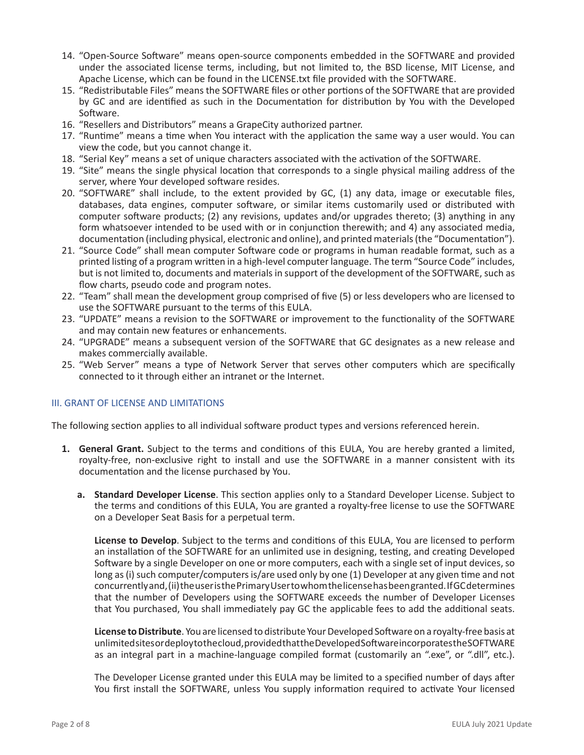- 14. "Open-Source Software" means open-source components embedded in the SOFTWARE and provided under the associated license terms, including, but not limited to, the BSD license, MIT License, and Apache License, which can be found in the LICENSE.txt file provided with the SOFTWARE.
- 15. "Redistributable Files" means the SOFTWARE files or other portions of the SOFTWARE that are provided by GC and are identified as such in the Documentation for distribution by You with the Developed Software.
- 16. "Resellers and Distributors" means a GrapeCity authorized partner.
- 17. "Runtime" means a time when You interact with the application the same way a user would. You can view the code, but you cannot change it.
- 18. "Serial Key" means a set of unique characters associated with the activation of the SOFTWARE.
- 19. "Site" means the single physical location that corresponds to a single physical mailing address of the server, where Your developed software resides.
- 20. "SOFTWARE" shall include, to the extent provided by GC, (1) any data, image or executable files, databases, data engines, computer software, or similar items customarily used or distributed with computer software products; (2) any revisions, updates and/or upgrades thereto; (3) anything in any form whatsoever intended to be used with or in conjunction therewith; and 4) any associated media, documentation (including physical, electronic and online), and printed materials (the "Documentation").
- 21. "Source Code" shall mean computer Software code or programs in human readable format, such as a printed listing of a program written in a high-level computer language. The term "Source Code" includes, but is not limited to, documents and materials in support of the development of the SOFTWARE, such as flow charts, pseudo code and program notes.
- 22. "Team" shall mean the development group comprised of five (5) or less developers who are licensed to use the SOFTWARE pursuant to the terms of this EULA.
- 23. "UPDATE" means a revision to the SOFTWARE or improvement to the functionality of the SOFTWARE and may contain new features or enhancements.
- 24. "UPGRADE" means a subsequent version of the SOFTWARE that GC designates as a new release and makes commercially available.
- 25. "Web Server" means a type of Network Server that serves other computers which are specifically connected to it through either an intranet or the Internet.

#### III. GRANT OF LICENSE AND LIMITATIONS

The following section applies to all individual software product types and versions referenced herein.

- **1. General Grant.** Subject to the terms and conditions of this EULA, You are hereby granted a limited, royalty-free, non-exclusive right to install and use the SOFTWARE in a manner consistent with its documentation and the license purchased by You.
	- **a. Standard Developer License**. This section applies only to a Standard Developer License. Subject to the terms and conditions of this EULA, You are granted a royalty-free license to use the SOFTWARE on a Developer Seat Basis for a perpetual term.

**License to Develop**. Subject to the terms and conditions of this EULA, You are licensed to perform an installation of the SOFTWARE for an unlimited use in designing, testing, and creating Developed Software by a single Developer on one or more computers, each with a single set of input devices, so long as (i) such computer/computers is/are used only by one (1) Developer at any given time and not concurrently and, (ii) the user is the Primary User to whom the license has been granted. If GC determines that the number of Developers using the SOFTWARE exceeds the number of Developer Licenses that You purchased, You shall immediately pay GC the applicable fees to add the additional seats.

**License to Distribute**. You are licensed to distribute Your Developed Software on a royalty-free basis at unlimited sites or deploy to the cloud, provided that the Developed Software incorporates the SOFTWARE as an integral part in a machine-language compiled format (customarily an ".exe", or ".dll", etc.).

The Developer License granted under this EULA may be limited to a specified number of days after You first install the SOFTWARE, unless You supply information required to activate Your licensed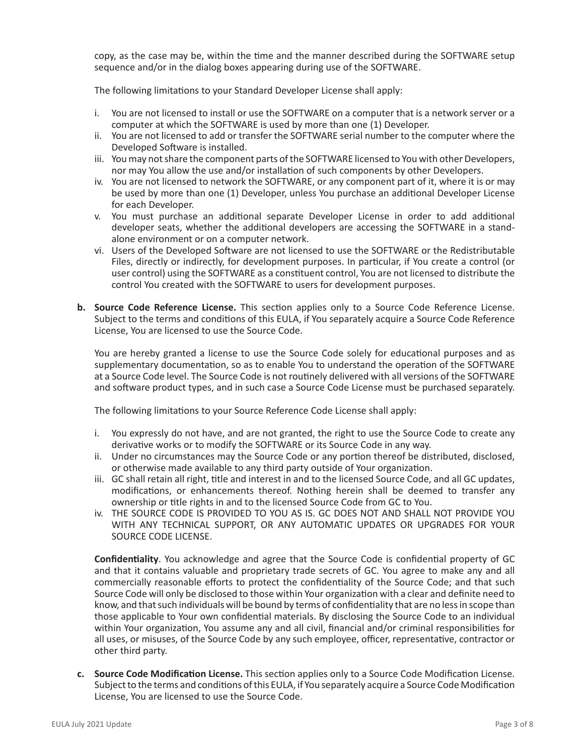copy, as the case may be, within the time and the manner described during the SOFTWARE setup sequence and/or in the dialog boxes appearing during use of the SOFTWARE.

The following limitations to your Standard Developer License shall apply:

- i. You are not licensed to install or use the SOFTWARE on a computer that is a network server or a computer at which the SOFTWARE is used by more than one (1) Developer.
- ii. You are not licensed to add or transfer the SOFTWARE serial number to the computer where the Developed Software is installed.
- iii. You may not share the component parts of the SOFTWARE licensed to You with other Developers, nor may You allow the use and/or installation of such components by other Developers.
- iv. You are not licensed to network the SOFTWARE, or any component part of it, where it is or may be used by more than one (1) Developer, unless You purchase an additional Developer License for each Developer.
- v. You must purchase an additional separate Developer License in order to add additional developer seats, whether the additional developers are accessing the SOFTWARE in a standalone environment or on a computer network.
- vi. Users of the Developed Software are not licensed to use the SOFTWARE or the Redistributable Files, directly or indirectly, for development purposes. In particular, if You create a control (or user control) using the SOFTWARE as a constituent control, You are not licensed to distribute the control You created with the SOFTWARE to users for development purposes.
- **b. Source Code Reference License.** This section applies only to a Source Code Reference License. Subject to the terms and conditions of this EULA, if You separately acquire a Source Code Reference License, You are licensed to use the Source Code.

You are hereby granted a license to use the Source Code solely for educational purposes and as supplementary documentation, so as to enable You to understand the operation of the SOFTWARE at a Source Code level. The Source Code is not routinely delivered with all versions of the SOFTWARE and software product types, and in such case a Source Code License must be purchased separately.

The following limitations to your Source Reference Code License shall apply:

- i. You expressly do not have, and are not granted, the right to use the Source Code to create any derivative works or to modify the SOFTWARE or its Source Code in any way.
- ii. Under no circumstances may the Source Code or any portion thereof be distributed, disclosed, or otherwise made available to any third party outside of Your organization.
- iii. GC shall retain all right, title and interest in and to the licensed Source Code, and all GC updates, modifications, or enhancements thereof. Nothing herein shall be deemed to transfer any ownership or title rights in and to the licensed Source Code from GC to You.
- iv. THE SOURCE CODE IS PROVIDED TO YOU AS IS. GC DOES NOT AND SHALL NOT PROVIDE YOU WITH ANY TECHNICAL SUPPORT, OR ANY AUTOMATIC UPDATES OR UPGRADES FOR YOUR SOURCE CODE LICENSE.

**Confidentiality**. You acknowledge and agree that the Source Code is confidential property of GC and that it contains valuable and proprietary trade secrets of GC. You agree to make any and all commercially reasonable efforts to protect the confidentiality of the Source Code; and that such Source Code will only be disclosed to those within Your organization with a clear and definite need to know, and that such individuals will be bound by terms of confidentiality that are no less in scope than those applicable to Your own confidential materials. By disclosing the Source Code to an individual within Your organization, You assume any and all civil, financial and/or criminal responsibilities for all uses, or misuses, of the Source Code by any such employee, officer, representative, contractor or other third party.

**c. Source Code Modification License.** This section applies only to a Source Code Modification License. Subject to the terms and conditions of this EULA, if You separately acquire a Source Code Modification License, You are licensed to use the Source Code.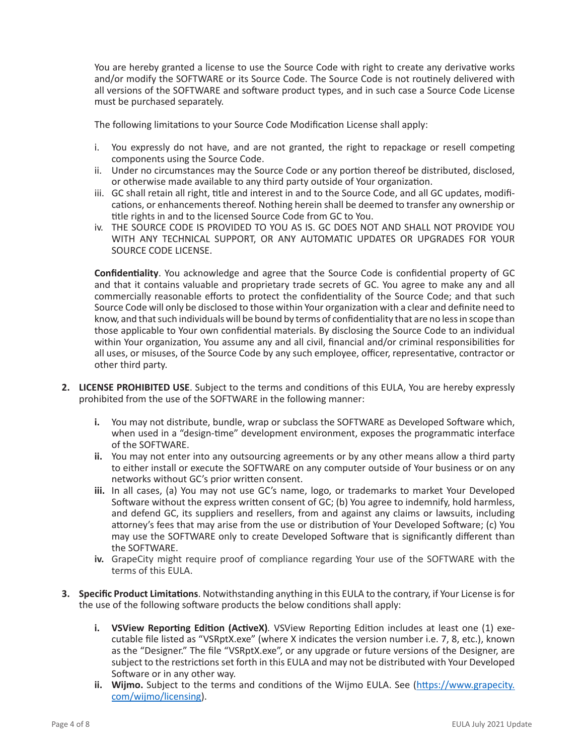You are hereby granted a license to use the Source Code with right to create any derivative works and/or modify the SOFTWARE or its Source Code. The Source Code is not routinely delivered with all versions of the SOFTWARE and software product types, and in such case a Source Code License must be purchased separately.

The following limitations to your Source Code Modification License shall apply:

- i. You expressly do not have, and are not granted, the right to repackage or resell competing components using the Source Code.
- ii. Under no circumstances may the Source Code or any portion thereof be distributed, disclosed, or otherwise made available to any third party outside of Your organization.
- iii. GC shall retain all right, title and interest in and to the Source Code, and all GC updates, modifications, or enhancements thereof. Nothing herein shall be deemed to transfer any ownership or title rights in and to the licensed Source Code from GC to You.
- iv. THE SOURCE CODE IS PROVIDED TO YOU AS IS. GC DOES NOT AND SHALL NOT PROVIDE YOU WITH ANY TECHNICAL SUPPORT, OR ANY AUTOMATIC UPDATES OR UPGRADES FOR YOUR SOURCE CODE LICENSE.

**Confidentiality**. You acknowledge and agree that the Source Code is confidential property of GC and that it contains valuable and proprietary trade secrets of GC. You agree to make any and all commercially reasonable efforts to protect the confidentiality of the Source Code; and that such Source Code will only be disclosed to those within Your organization with a clear and definite need to know, and that such individuals will be bound by terms of confidentiality that are no less in scope than those applicable to Your own confidential materials. By disclosing the Source Code to an individual within Your organization, You assume any and all civil, financial and/or criminal responsibilities for all uses, or misuses, of the Source Code by any such employee, officer, representative, contractor or other third party.

- **2. LICENSE PROHIBITED USE**. Subject to the terms and conditions of this EULA, You are hereby expressly prohibited from the use of the SOFTWARE in the following manner:
	- **i.** You may not distribute, bundle, wrap or subclass the SOFTWARE as Developed Software which, when used in a "design-time" development environment, exposes the programmatic interface of the SOFTWARE.
	- **ii.** You may not enter into any outsourcing agreements or by any other means allow a third party to either install or execute the SOFTWARE on any computer outside of Your business or on any networks without GC's prior written consent.
	- **iii.** In all cases, (a) You may not use GC's name, logo, or trademarks to market Your Developed Software without the express written consent of GC; (b) You agree to indemnify, hold harmless, and defend GC, its suppliers and resellers, from and against any claims or lawsuits, including attorney's fees that may arise from the use or distribution of Your Developed Software; (c) You may use the SOFTWARE only to create Developed Software that is significantly different than the SOFTWARE.
	- **iv.** GrapeCity might require proof of compliance regarding Your use of the SOFTWARE with the terms of this EULA.
- **3. Specific Product Limitations**. Notwithstanding anything in this EULA to the contrary, if Your License is for the use of the following software products the below conditions shall apply:
	- **i. VSView Reporting Edition (ActiveX)***.* VSView Reporting Edition includes at least one (1) executable file listed as "VSRptX.exe" (where X indicates the version number i.e. 7, 8, etc.), known as the "Designer." The file "VSRptX.exe", or any upgrade or future versions of the Designer, are subject to the restrictions set forth in this EULA and may not be distributed with Your Developed Software or in any other way.
	- ii. Wijmo. Subject to the terms and conditions of the Wijmo EULA. See (https://www.grapecity. com/wijmo/licensing).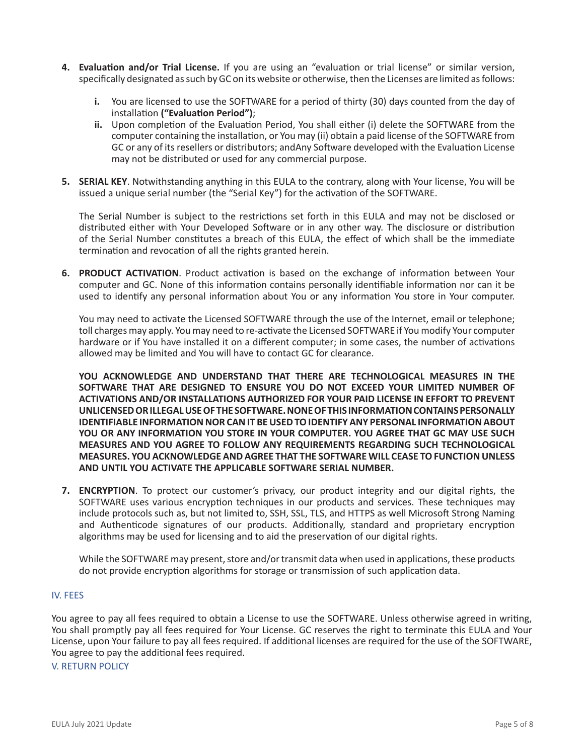- **4. Evaluation and/or Trial License.** If you are using an "evaluation or trial license" or similar version, specifically designated as such by GC on its website or otherwise, then the Licenses are limited as follows:
	- **i.** You are licensed to use the SOFTWARE for a period of thirty (30) days counted from the day of installation **("Evaluation Period")**;
	- **ii.** Upon completion of the Evaluation Period, You shall either (i) delete the SOFTWARE from the computer containing the installation, or You may (ii) obtain a paid license of the SOFTWARE from GC or any of its resellers or distributors; andAny Software developed with the Evaluation License may not be distributed or used for any commercial purpose.
- **5. SERIAL KEY**. Notwithstanding anything in this EULA to the contrary, along with Your license, You will be issued a unique serial number (the "Serial Key") for the activation of the SOFTWARE.

The Serial Number is subject to the restrictions set forth in this EULA and may not be disclosed or distributed either with Your Developed Software or in any other way. The disclosure or distribution of the Serial Number constitutes a breach of this EULA, the effect of which shall be the immediate termination and revocation of all the rights granted herein.

**6. PRODUCT ACTIVATION**. Product activation is based on the exchange of information between Your computer and GC. None of this information contains personally identifiable information nor can it be used to identify any personal information about You or any information You store in Your computer.

You may need to activate the Licensed SOFTWARE through the use of the Internet, email or telephone; toll charges may apply. You may need to re-activate the Licensed SOFTWARE if You modify Your computer hardware or if You have installed it on a different computer; in some cases, the number of activations allowed may be limited and You will have to contact GC for clearance.

**YOU ACKNOWLEDGE AND UNDERSTAND THAT THERE ARE TECHNOLOGICAL MEASURES IN THE SOFTWARE THAT ARE DESIGNED TO ENSURE YOU DO NOT EXCEED YOUR LIMITED NUMBER OF ACTIVATIONS AND/OR INSTALLATIONS AUTHORIZED FOR YOUR PAID LICENSE IN EFFORT TO PREVENT UNLICENSED OR ILLEGAL USE OF THE SOFTWARE. NONE OF THIS INFORMATION CONTAINS PERSONALLY IDENTIFIABLE INFORMATION NOR CAN IT BE USED TO IDENTIFY ANY PERSONAL INFORMATION ABOUT YOU OR ANY INFORMATION YOU STORE IN YOUR COMPUTER. YOU AGREE THAT GC MAY USE SUCH MEASURES AND YOU AGREE TO FOLLOW ANY REQUIREMENTS REGARDING SUCH TECHNOLOGICAL MEASURES. YOU ACKNOWLEDGE AND AGREE THAT THE SOFTWARE WILL CEASE TO FUNCTION UNLESS AND UNTIL YOU ACTIVATE THE APPLICABLE SOFTWARE SERIAL NUMBER.**

**7. ENCRYPTION**. To protect our customer's privacy, our product integrity and our digital rights, the SOFTWARE uses various encryption techniques in our products and services. These techniques may include protocols such as, but not limited to, SSH, SSL, TLS, and HTTPS as well Microsoft Strong Naming and Authenticode signatures of our products. Additionally, standard and proprietary encryption algorithms may be used for licensing and to aid the preservation of our digital rights.

While the SOFTWARE may present, store and/or transmit data when used in applications, these products do not provide encryption algorithms for storage or transmission of such application data.

#### IV. FEES

You agree to pay all fees required to obtain a License to use the SOFTWARE. Unless otherwise agreed in writing, You shall promptly pay all fees required for Your License. GC reserves the right to terminate this EULA and Your License, upon Your failure to pay all fees required. If additional licenses are required for the use of the SOFTWARE, You agree to pay the additional fees required.

V. RETURN POLICY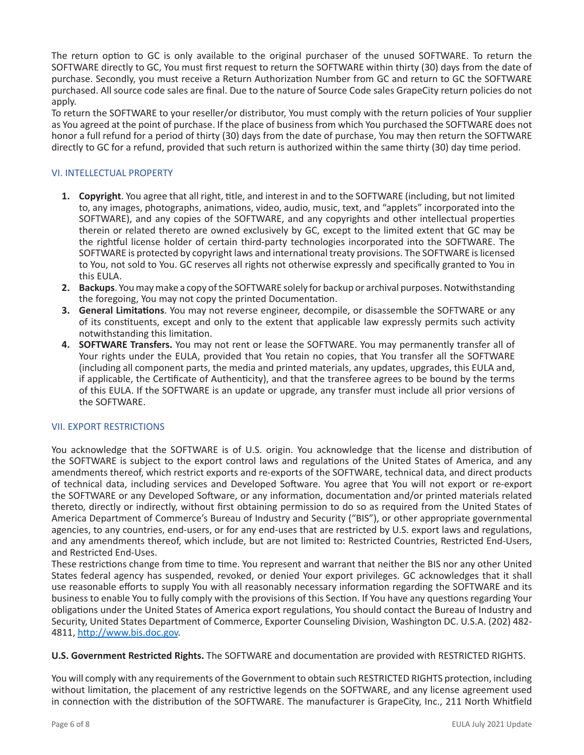The return option to GC is only available to the original purchaser of the unused SOFTWARE. To return the SOFTWARE directly to GC, You must first request to return the SOFTWARE within thirty (30) days from the date of purchase. Secondly, you must receive a Return Authorization Number from GC and return to GC the SOFTWARE purchased. All source code sales are final. Due to the nature of Source Code sales GrapeCity return policies do not apply.

To return the SOFTWARE to your reseller/or distributor, You must comply with the return policies of Your supplier as You agreed at the point of purchase. If the place of business from which You purchased the SOFTWARE does not honor a full refund for a period of thirty (30) days from the date of purchase, You may then return the SOFTWARE directly to GC for a refund, provided that such return is authorized within the same thirty (30) day time period.

# VI. INTELLECTUAL PROPERTY

- **1. Copyright**. You agree that all right, title, and interest in and to the SOFTWARE (including, but not limited to, any images, photographs, animations, video, audio, music, text, and "applets" incorporated into the SOFTWARE), and any copies of the SOFTWARE, and any copyrights and other intellectual properties therein or related thereto are owned exclusively by GC, except to the limited extent that GC may be the rightful license holder of certain third-party technologies incorporated into the SOFTWARE. The SOFTWARE is protected by copyright laws and international treaty provisions. The SOFTWARE is licensed to You, not sold to You. GC reserves all rights not otherwise expressly and specifically granted to You in this EULA.
- **2. Backups**. You may make a copy of the SOFTWARE solely for backup or archival purposes. Notwithstanding the foregoing, You may not copy the printed Documentation.
- **3. General Limitations**. You may not reverse engineer, decompile, or disassemble the SOFTWARE or any of its constituents, except and only to the extent that applicable law expressly permits such activity notwithstanding this limitation.
- **4. SOFTWARE Transfers.** You may not rent or lease the SOFTWARE. You may permanently transfer all of Your rights under the EULA, provided that You retain no copies, that You transfer all the SOFTWARE (including all component parts, the media and printed materials, any updates, upgrades, this EULA and, if applicable, the Certificate of Authenticity), and that the transferee agrees to be bound by the terms of this EULA. If the SOFTWARE is an update or upgrade, any transfer must include all prior versions of the SOFTWARE.

# VII. EXPORT RESTRICTIONS

You acknowledge that the SOFTWARE is of U.S. origin. You acknowledge that the license and distribution of the SOFTWARE is subject to the export control laws and regulations of the United States of America, and any amendments thereof, which restrict exports and re-exports of the SOFTWARE, technical data, and direct products of technical data, including services and Developed Software. You agree that You will not export or re-export the SOFTWARE or any Developed Software, or any information, documentation and/or printed materials related thereto, directly or indirectly, without first obtaining permission to do so as required from the United States of America Department of Commerce's Bureau of Industry and Security ("BIS"), or other appropriate governmental agencies, to any countries, end-users, or for any end-uses that are restricted by U.S. export laws and regulations, and any amendments thereof, which include, but are not limited to: Restricted Countries, Restricted End-Users, and Restricted End-Uses.

These restrictions change from time to time. You represent and warrant that neither the BIS nor any other United States federal agency has suspended, revoked, or denied Your export privileges. GC acknowledges that it shall use reasonable efforts to supply You with all reasonably necessary information regarding the SOFTWARE and its business to enable You to fully comply with the provisions of this Section. If You have any questions regarding Your obligations under the United States of America export regulations, You should contact the Bureau of Industry and Security, United States Department of Commerce, Exporter Counseling Division, Washington DC. U.S.A. (202) 482- 4811, http://www.bis.doc.gov.

# **U.S. Government Restricted Rights.** The SOFTWARE and documentation are provided with RESTRICTED RIGHTS.

You will comply with any requirements of the Government to obtain such RESTRICTED RIGHTS protection, including without limitation, the placement of any restrictive legends on the SOFTWARE, and any license agreement used in connection with the distribution of the SOFTWARE. The manufacturer is GrapeCity, Inc., 211 North Whitfield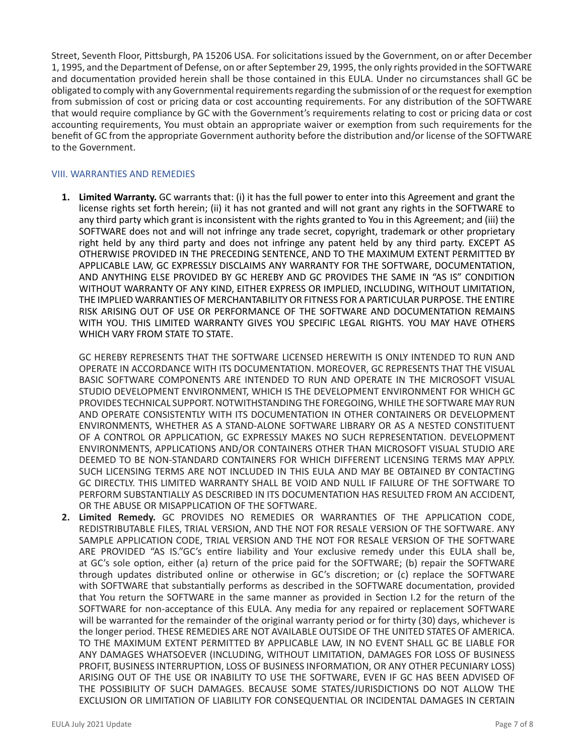Street, Seventh Floor, Pittsburgh, PA 15206 USA. For solicitations issued by the Government, on or after December 1, 1995, and the Department of Defense, on or after September 29, 1995, the only rights provided in the SOFTWARE and documentation provided herein shall be those contained in this EULA. Under no circumstances shall GC be obligated to comply with any Governmental requirements regarding the submission of or the request for exemption from submission of cost or pricing data or cost accounting requirements. For any distribution of the SOFTWARE that would require compliance by GC with the Government's requirements relating to cost or pricing data or cost accounting requirements, You must obtain an appropriate waiver or exemption from such requirements for the benefit of GC from the appropriate Government authority before the distribution and/or license of the SOFTWARE to the Government.

### VIII. WARRANTIES AND REMEDIES

**1. Limited Warranty.** GC warrants that: (i) it has the full power to enter into this Agreement and grant the license rights set forth herein; (ii) it has not granted and will not grant any rights in the SOFTWARE to any third party which grant is inconsistent with the rights granted to You in this Agreement; and (iii) the SOFTWARE does not and will not infringe any trade secret, copyright, trademark or other proprietary right held by any third party and does not infringe any patent held by any third party. EXCEPT AS OTHERWISE PROVIDED IN THE PRECEDING SENTENCE, AND TO THE MAXIMUM EXTENT PERMITTED BY APPLICABLE LAW, GC EXPRESSLY DISCLAIMS ANY WARRANTY FOR THE SOFTWARE, DOCUMENTATION, AND ANYTHING ELSE PROVIDED BY GC HEREBY AND GC PROVIDES THE SAME IN "AS IS" CONDITION WITHOUT WARRANTY OF ANY KIND, EITHER EXPRESS OR IMPLIED, INCLUDING, WITHOUT LIMITATION, THE IMPLIED WARRANTIES OF MERCHANTABILITY OR FITNESS FOR A PARTICULAR PURPOSE. THE ENTIRE RISK ARISING OUT OF USE OR PERFORMANCE OF THE SOFTWARE AND DOCUMENTATION REMAINS WITH YOU. THIS LIMITED WARRANTY GIVES YOU SPECIFIC LEGAL RIGHTS. YOU MAY HAVE OTHERS WHICH VARY FROM STATE TO STATE.

GC HEREBY REPRESENTS THAT THE SOFTWARE LICENSED HEREWITH IS ONLY INTENDED TO RUN AND OPERATE IN ACCORDANCE WITH ITS DOCUMENTATION. MOREOVER, GC REPRESENTS THAT THE VISUAL BASIC SOFTWARE COMPONENTS ARE INTENDED TO RUN AND OPERATE IN THE MICROSOFT VISUAL STUDIO DEVELOPMENT ENVIRONMENT, WHICH IS THE DEVELOPMENT ENVIRONMENT FOR WHICH GC PROVIDES TECHNICAL SUPPORT. NOTWITHSTANDING THE FOREGOING, WHILE THE SOFTWARE MAY RUN AND OPERATE CONSISTENTLY WITH ITS DOCUMENTATION IN OTHER CONTAINERS OR DEVELOPMENT ENVIRONMENTS, WHETHER AS A STAND-ALONE SOFTWARE LIBRARY OR AS A NESTED CONSTITUENT OF A CONTROL OR APPLICATION, GC EXPRESSLY MAKES NO SUCH REPRESENTATION. DEVELOPMENT ENVIRONMENTS, APPLICATIONS AND/OR CONTAINERS OTHER THAN MICROSOFT VISUAL STUDIO ARE DEEMED TO BE NON-STANDARD CONTAINERS FOR WHICH DIFFERENT LICENSING TERMS MAY APPLY. SUCH LICENSING TERMS ARE NOT INCLUDED IN THIS EULA AND MAY BE OBTAINED BY CONTACTING GC DIRECTLY. THIS LIMITED WARRANTY SHALL BE VOID AND NULL IF FAILURE OF THE SOFTWARE TO PERFORM SUBSTANTIALLY AS DESCRIBED IN ITS DOCUMENTATION HAS RESULTED FROM AN ACCIDENT, OR THE ABUSE OR MISAPPLICATION OF THE SOFTWARE.

**2. Limited Remedy.** GC PROVIDES NO REMEDIES OR WARRANTIES OF THE APPLICATION CODE, REDISTRIBUTABLE FILES, TRIAL VERSION, AND THE NOT FOR RESALE VERSION OF THE SOFTWARE. ANY SAMPLE APPLICATION CODE, TRIAL VERSION AND THE NOT FOR RESALE VERSION OF THE SOFTWARE ARE PROVIDED "AS IS."GC's entire liability and Your exclusive remedy under this EULA shall be, at GC's sole option, either (a) return of the price paid for the SOFTWARE; (b) repair the SOFTWARE through updates distributed online or otherwise in GC's discretion; or (c) replace the SOFTWARE with SOFTWARE that substantially performs as described in the SOFTWARE documentation, provided that You return the SOFTWARE in the same manner as provided in Section I.2 for the return of the SOFTWARE for non-acceptance of this EULA. Any media for any repaired or replacement SOFTWARE will be warranted for the remainder of the original warranty period or for thirty (30) days, whichever is the longer period. THESE REMEDIES ARE NOT AVAILABLE OUTSIDE OF THE UNITED STATES OF AMERICA. TO THE MAXIMUM EXTENT PERMITTED BY APPLICABLE LAW, IN NO EVENT SHALL GC BE LIABLE FOR ANY DAMAGES WHATSOEVER (INCLUDING, WITHOUT LIMITATION, DAMAGES FOR LOSS OF BUSINESS PROFIT, BUSINESS INTERRUPTION, LOSS OF BUSINESS INFORMATION, OR ANY OTHER PECUNIARY LOSS) ARISING OUT OF THE USE OR INABILITY TO USE THE SOFTWARE, EVEN IF GC HAS BEEN ADVISED OF THE POSSIBILITY OF SUCH DAMAGES. BECAUSE SOME STATES/JURISDICTIONS DO NOT ALLOW THE EXCLUSION OR LIMITATION OF LIABILITY FOR CONSEQUENTIAL OR INCIDENTAL DAMAGES IN CERTAIN